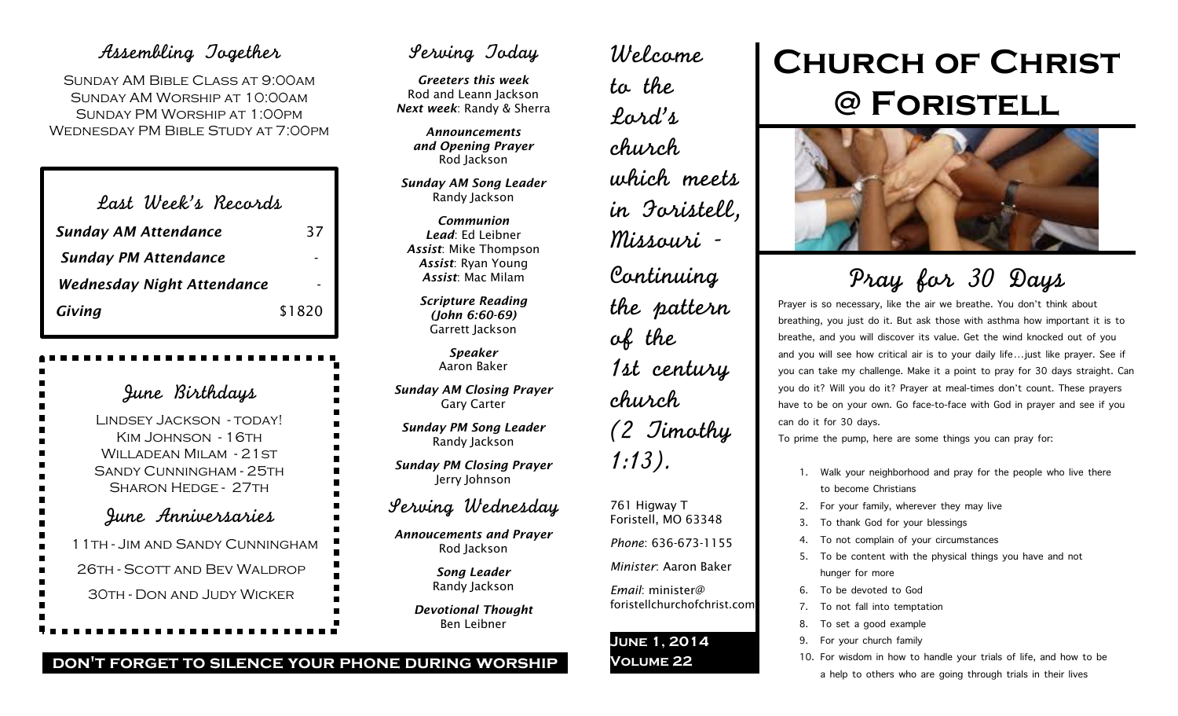## Assembling Together

SUNDAY AM BIBLE CLASS AT 9:00AM Sunday AM Worship at 10:00am Sunday PM Worship at 1:00pm Wednesday PM Bible Study at 7:00pm

| Last Week's Records               |        |
|-----------------------------------|--------|
| <b>Sunday AM Attendance</b>       | 37     |
| <b>Sunday PM Attendance</b>       |        |
| <b>Wednesday Night Attendance</b> |        |
| Giving                            | \$1820 |

June Birthdays Lindsey Jackson - today! KIM JOHNSON - 16TH WILLADEAN MILAM - 21 ST Sandy Cunningham - 25th Sharon Hedge - 27th June Anniversaries 11th - Jim and Sandy Cunningham 26th - Scott and Bev Waldrop 30th - Don and Judy Wicker

## Serving Today

*Greeters this week* Rod and Leann Jackson *Next week*: Randy & Sherra

> *Announcements and Opening Prayer* Rod Jackson

*Sunday AM Song Leader* Randy Jackson

*Communion Lead*: Ed Leibner *Assist*: Mike Thompson *Assist*: Ryan Young *Assist*: Mac Milam

> *Scripture Reading (John 6:60-69)* Garrett Jackson

> > *Speaker* Aaron Baker

*Sunday AM Closing Prayer* Gary Carter

*Sunday PM Song Leader* Randy Jackson

*Sunday PM Closing Prayer* Jerry Johnson

## Serving Wednesday

*Annoucements and Prayer* Rod Jackson

> *Song Leader* Randy Jackson

*Devotional Thought* Ben Leibner

## Welcome to the Lord's church which meets in Foristell, Missouri - Continuing the pattern of the 1st century church (2 Timothy 1:13).

#### 761 Higway T Foristell, MO 63348

*Phone*: 636-673-1155

*Minister*: Aaron Baker

*Email*: minister@ foristellchurchofchrist.com

#### **June 1, 2014 Volume 22**

# **Church of Christ @ Foristell**



Pray for 30 Days

Prayer is so necessary, like the air we breathe. You don't think about breathing, you just do it. But ask those with asthma how important it is to breathe, and you will discover its value. Get the wind knocked out of you and you will see how critical air is to your daily life…just like prayer. See if you can take my challenge. Make it a point to pray for 30 days straight. Can you do it? Will you do it? Prayer at meal-times don't count. These prayers have to be on your own. Go face-to-face with God in prayer and see if you can do it for 30 days.

To prime the pump, here are some things you can pray for:

- 1. Walk your neighborhood and pray for the people who live there to become Christians
- 2. For your family, wherever they may live
- 3. To thank God for your blessings
- 4. To not complain of your circumstances
- 5. To be content with the physical things you have and not hunger for more
- 6. To be devoted to God
- 7. To not fall into temptation
- 8. To set a good example
- 9. For your church family
- 10. For wisdom in how to handle your trials of life, and how to be
	- a help to others who are going through trials in their lives

**don't forget to silence your phone during worship**